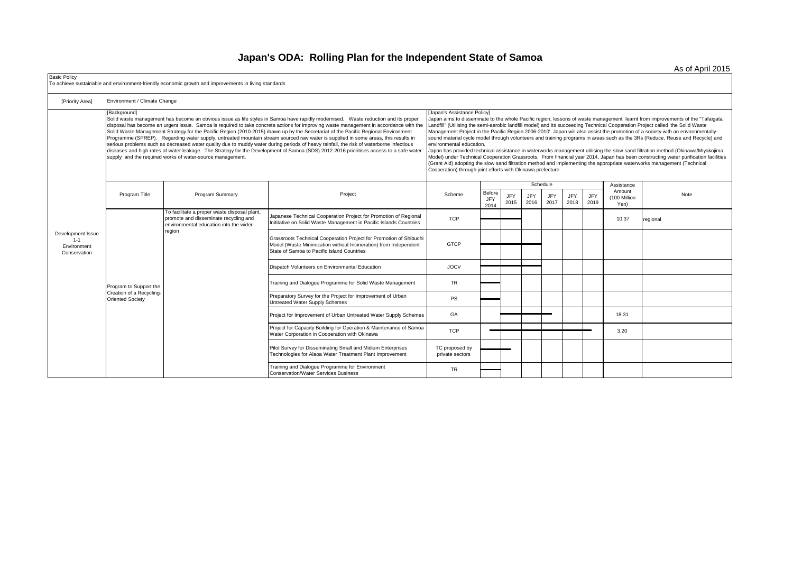## **Japan's ODA: Rolling Plan for the Independent State of Samoa**

[Priority Area] Before JFY 2014 JFY 2015 JFY 2016 JFY 2017 JFY 2018 JFY 2019 Japanese Technical Cooperation Project for Promotion of Regional Japanese Technical Cooperation Project for Promotion of Regional the Countries TCP 10.37 regional end of the U<br>Inititative on Solid Waste Management in Pacific Islands Countries 10.000 TCP 10.000 TCP 10.000 TCP 10.37 regio Grassroots Technical Cooperation Project for Promotion of Shibuchi Model (Waste Minimization without Incineration) from Independent State of Samoa to Pacific Island Countries GTCP Dispatch Volunteers on Environmental Education **JOCV** Training and Dialogue Programme for Solid Waste Management TR Preparatory Survey for the Project for Improvement of Urban Preparatory Survey for the Project for Improvement or Urban<br>Untreated Water Supply Schemes Project for Improvement of Urban Untreated Water Supply Schemes GA 18.31 Project for Capacity Building for Operation & Maintenance of Samoa Project for Capacity Building for Operation & Maintenance of Samoa<br>Water Corporation in Cooperation with Okinawa TCP 3.20 Pilot Survey for Disseminating Small and Midium Enterprises Technologies for Alaoa Water Treatment Plant Improvement TC proposed by private sectors Training and Dialogue Programme for Environment Training and Dialogue Programme for Environment<br>Conservation/Water Services Business TR TR Basic Policy To achieve sustainable and environment-friendly economic growth and improvements in living standards Environment / Climate Change Development Issue  $1 - 1$ Environment Conservation [Background] Solid waste management has become an obvious issue as life styles in Samoa have rapidly modernised. Waste reduction and its proper disposal has become an urgent issue. Samoa is required to take concrete actions for improving waste management in accordance with the Solid Waste Management Strategy for the Pacific Region (2010-2015) drawn up by the Secretariat of the Pacific Regional Environment Programme (SPREP). Regarding water supply, untreated mountain stream sourced raw water is supplied in some areas, this results in serious problems such as decreased water quality due to muddy water during periods of heavy rainfall, the risk of waterborne infectious diseases and high rates of water leakage. The Strategy for the Development of Samoa (SDS) 2012-2016 prioritises access to a safe water supply and the required works of water-source management. [Japan's Assistance Policy] Japan aims to disseminate to the whole Pacific region, lessons of waste management learnt from improvements of the "Tafaigata Landfill" (Utilising the semi-aerobic landfill model) and its succeeding Technical Cooperation Project called 'the Solid Waste Management Project in the Pacific Region 2006-2010'. Japan will also assist the promotion of a society with an environmentallysound material cycle model through volunteers and training programs in areas such as the 3Rs (Reduce, Reuse and Recycle) and environmental education. Japan has provided technical assistance in waterworks management utilising the slow sand filtration method (Okinawa/Miyakojima Model) under Technical Cooperation Grassroots. From financial year 2014, Japan has been constructing water purification facilities (Grant Aid) adopting the slow sand filtration method and implementing the appropriate waterworks management (Technical Cooperation) through joint efforts with Okinawa prefecture . Program Title **Program Summary Provide Community** Project Project Scheme Schedule **Assistance** Amount (100 Million Yen) Note Program to Support the Creation of a Recycling-Oriented Society To facilitate a proper waste disposal plant, promote and disseminate recycling and environmental education into the wider region

As of April 2015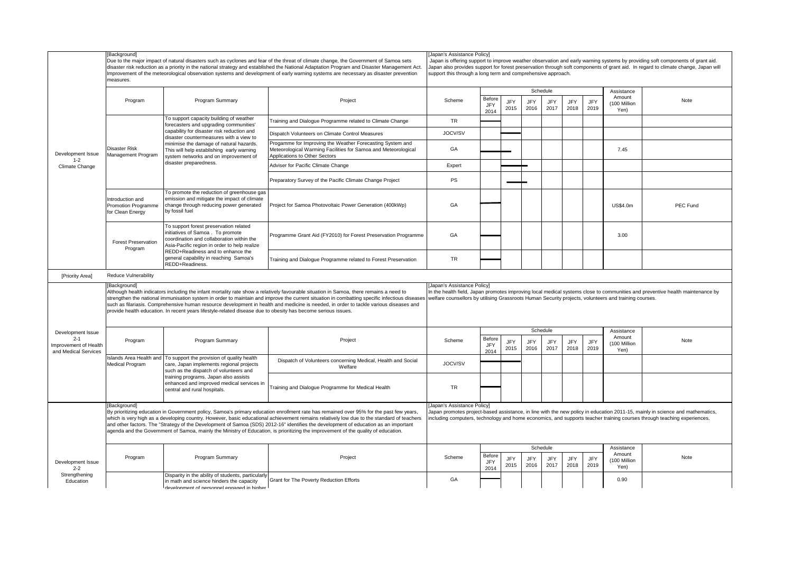|                                                                               | [Background]<br>Due to the major impact of natural disasters such as cyclones and fear of the threat of climate change, the Government of Samoa sets<br>disaster risk reduction as a priority in the national strategy and established the National Adaptation Program and Disaster Management Act.<br>Improvement of the meteorological observation systems and development of early warning systems are necessary as disaster prevention<br>measures.                                                                                                                           |                                                                                                                                                                                                                                                                                                                                       |                                                                                                                                                              | [Japan's Assistance Policy]<br>Japan is offering support to improve weather observation and early warning systems by providing soft components of grant aid.<br>Japan also provides support for forest preservation through soft components of grant aid. In regard to climate change, Japan will<br>support this through a long term and comprehensive approach. |                                                                                                                                                                                                                                                                             |                    |                    |                         |                    |                    |                                              |          |  |
|-------------------------------------------------------------------------------|-----------------------------------------------------------------------------------------------------------------------------------------------------------------------------------------------------------------------------------------------------------------------------------------------------------------------------------------------------------------------------------------------------------------------------------------------------------------------------------------------------------------------------------------------------------------------------------|---------------------------------------------------------------------------------------------------------------------------------------------------------------------------------------------------------------------------------------------------------------------------------------------------------------------------------------|--------------------------------------------------------------------------------------------------------------------------------------------------------------|-------------------------------------------------------------------------------------------------------------------------------------------------------------------------------------------------------------------------------------------------------------------------------------------------------------------------------------------------------------------|-----------------------------------------------------------------------------------------------------------------------------------------------------------------------------------------------------------------------------------------------------------------------------|--------------------|--------------------|-------------------------|--------------------|--------------------|----------------------------------------------|----------|--|
|                                                                               | Program                                                                                                                                                                                                                                                                                                                                                                                                                                                                                                                                                                           | Program Summary                                                                                                                                                                                                                                                                                                                       | Project                                                                                                                                                      | Scheme                                                                                                                                                                                                                                                                                                                                                            | Before<br>JFY<br>2014                                                                                                                                                                                                                                                       | JFY<br>2015        | <b>JFY</b><br>2016 | Schedule<br>JFY<br>2017 | JFY<br>2018        | JFY<br>2019        | Assistance<br>Amount<br>(100 Million<br>Yen) | Note     |  |
| Development Issue<br>$1 - 2$<br>Climate Change                                | Disaster Risk<br>Management Program                                                                                                                                                                                                                                                                                                                                                                                                                                                                                                                                               | To support capacity building of weather<br>forecasters and upgrading communities'<br>capability for disaster risk reduction and<br>disaster countermeasures with a view to<br>minimise the damage of natural hazards.<br>This will help establishing early warning<br>system networks and on improvement of<br>disaster preparedness. | Training and Dialogue Programme related to Climate Change                                                                                                    | <b>TR</b>                                                                                                                                                                                                                                                                                                                                                         |                                                                                                                                                                                                                                                                             |                    |                    |                         |                    |                    |                                              |          |  |
|                                                                               |                                                                                                                                                                                                                                                                                                                                                                                                                                                                                                                                                                                   |                                                                                                                                                                                                                                                                                                                                       | Dispatch Volunteers on Climate Control Measures                                                                                                              | JOCV/SV                                                                                                                                                                                                                                                                                                                                                           |                                                                                                                                                                                                                                                                             |                    |                    |                         |                    |                    |                                              |          |  |
|                                                                               |                                                                                                                                                                                                                                                                                                                                                                                                                                                                                                                                                                                   |                                                                                                                                                                                                                                                                                                                                       | Progamme for Improving the Weather Forecasting System and<br>Meteorological Warming Facilities for Samoa and Meteorological<br>Applications to Other Sectors | GA                                                                                                                                                                                                                                                                                                                                                                |                                                                                                                                                                                                                                                                             |                    |                    |                         |                    |                    | 7.45                                         |          |  |
|                                                                               |                                                                                                                                                                                                                                                                                                                                                                                                                                                                                                                                                                                   |                                                                                                                                                                                                                                                                                                                                       | Adviser for Pacific Climate Change                                                                                                                           | Expert                                                                                                                                                                                                                                                                                                                                                            |                                                                                                                                                                                                                                                                             |                    |                    |                         |                    |                    |                                              |          |  |
|                                                                               |                                                                                                                                                                                                                                                                                                                                                                                                                                                                                                                                                                                   |                                                                                                                                                                                                                                                                                                                                       | Preparatory Survey of the Pacific Climate Change Project                                                                                                     | PS                                                                                                                                                                                                                                                                                                                                                                |                                                                                                                                                                                                                                                                             |                    |                    |                         |                    |                    |                                              |          |  |
|                                                                               | Introduction and<br><b>Promotion Programme</b><br>for Clean Energy                                                                                                                                                                                                                                                                                                                                                                                                                                                                                                                | To promote the reduction of greenhouse gas<br>emission and mitigate the impact of climate<br>change through reducing power generated<br>by fossil fuel                                                                                                                                                                                | Project for Samoa Photovoltaic Power Generation (400kWp)                                                                                                     | GA                                                                                                                                                                                                                                                                                                                                                                |                                                                                                                                                                                                                                                                             |                    |                    |                         |                    |                    | <b>US\$4.0m</b>                              | PEC Fund |  |
|                                                                               | <b>Forest Preservation</b><br>Program                                                                                                                                                                                                                                                                                                                                                                                                                                                                                                                                             | To support forest preservation related<br>initiatives of Samoa. To promote<br>coordination and collaboration within the<br>Asia-Pacific region in order to help realize<br>REDD+Readiness and to enhance the<br>general capability in reaching Samoa's<br>REDD+Readiness.                                                             | Programme Grant Aid (FY2010) for Forest Preservation Programme                                                                                               | GA                                                                                                                                                                                                                                                                                                                                                                |                                                                                                                                                                                                                                                                             |                    |                    |                         |                    |                    | 3.00                                         |          |  |
|                                                                               |                                                                                                                                                                                                                                                                                                                                                                                                                                                                                                                                                                                   |                                                                                                                                                                                                                                                                                                                                       | Training and Dialogue Programme related to Forest Preservation                                                                                               | TR                                                                                                                                                                                                                                                                                                                                                                |                                                                                                                                                                                                                                                                             |                    |                    |                         |                    |                    |                                              |          |  |
| [Priority Area]                                                               | Reduce Vulnerability                                                                                                                                                                                                                                                                                                                                                                                                                                                                                                                                                              |                                                                                                                                                                                                                                                                                                                                       |                                                                                                                                                              |                                                                                                                                                                                                                                                                                                                                                                   |                                                                                                                                                                                                                                                                             |                    |                    |                         |                    |                    |                                              |          |  |
|                                                                               | [Background]<br>Although health indicators including the infant mortality rate show a relatively favourable situation in Samoa, there remains a need to<br>strengthen the national immunisation system in order to maintain and improve the current situation in combatting specific infectious diseases<br>such as filariasis. Comprehensive human resource development in health and medicine is needed, in order to tackle various diseases and<br>provide health education. In recent years lifestyle-related disease due to obesity has become serious issues.               |                                                                                                                                                                                                                                                                                                                                       |                                                                                                                                                              |                                                                                                                                                                                                                                                                                                                                                                   | <b>Japan's Assistance Policyl</b><br>In the health field, Japan promotes improving local medical systems close to communities and preventive health maintenance by<br>welfare counsellors by utilising Grassroots Human Security projects, volunteers and training courses. |                    |                    |                         |                    |                    |                                              |          |  |
| Development Issue<br>$2 - 1$<br>Improvement of Health<br>and Medical Services | Program                                                                                                                                                                                                                                                                                                                                                                                                                                                                                                                                                                           | Program Summary                                                                                                                                                                                                                                                                                                                       | Project                                                                                                                                                      | Scheme                                                                                                                                                                                                                                                                                                                                                            |                                                                                                                                                                                                                                                                             |                    | Schedule           |                         |                    |                    | Assistance<br>Amount                         |          |  |
|                                                                               |                                                                                                                                                                                                                                                                                                                                                                                                                                                                                                                                                                                   |                                                                                                                                                                                                                                                                                                                                       |                                                                                                                                                              |                                                                                                                                                                                                                                                                                                                                                                   | Before<br>JFY<br>2014                                                                                                                                                                                                                                                       | JFY<br>2015        | <b>JFY</b><br>2016 | JFY<br>2017             | JFY<br>2018        | <b>JFY</b><br>2019 | 100 Million<br>Yen)                          | Note     |  |
|                                                                               | Islands Area Health and<br>Medical Program                                                                                                                                                                                                                                                                                                                                                                                                                                                                                                                                        | To support the provision of quality health<br>care, Japan implements regional projects<br>such as the dispatch of volunteers and<br>training programs. Japan also assists<br>enhanced and improved medical services in<br>central and rural hospitals.                                                                                | Dispatch of Volunteers concerning Medical, Health and Social<br>Welfare                                                                                      | JOCV/SV                                                                                                                                                                                                                                                                                                                                                           |                                                                                                                                                                                                                                                                             |                    |                    |                         |                    |                    |                                              |          |  |
|                                                                               |                                                                                                                                                                                                                                                                                                                                                                                                                                                                                                                                                                                   |                                                                                                                                                                                                                                                                                                                                       | Training and Dialogue Programme for Medical Health                                                                                                           | TR                                                                                                                                                                                                                                                                                                                                                                |                                                                                                                                                                                                                                                                             |                    |                    |                         |                    |                    |                                              |          |  |
|                                                                               | [Background]<br>By prioritizing education in Government policy, Samoa's primary education enrollment rate has remained over 95% for the past few years,<br>which is very high as a developing country. However, basic educational achievement remains relatively low due to the standard of teachers<br>and other factors. The "Strategy of the Development of Samoa (SDS) 2012-16" identifies the development of education as an important<br>agenda and the Government of Samoa, mainly the Ministry of Education, is prioritizing the improvement of the quality of education. |                                                                                                                                                                                                                                                                                                                                       |                                                                                                                                                              | Japan's Assistance Policyl<br>Japan promotes project-based assistance, in line with the new policy in education 2011-15, mainly in science and mathematics,<br>including computers, technology and home economics, and supports teacher training courses through teaching experiences.                                                                            |                                                                                                                                                                                                                                                                             |                    |                    |                         |                    |                    |                                              |          |  |
| Development Issue<br>$2 - 2$                                                  | Program                                                                                                                                                                                                                                                                                                                                                                                                                                                                                                                                                                           | Program Summary                                                                                                                                                                                                                                                                                                                       | Project                                                                                                                                                      | Scheme                                                                                                                                                                                                                                                                                                                                                            | Before<br>JFY<br>2014                                                                                                                                                                                                                                                       | <b>JFY</b><br>2015 | JFY<br>2016        | Schedule<br>JFY<br>2017 | <b>JFY</b><br>2018 | <b>JFY</b><br>2019 | Assistance<br>Amount<br>(100 Million<br>Yen) | Note     |  |
| Strengthening<br>Education                                                    |                                                                                                                                                                                                                                                                                                                                                                                                                                                                                                                                                                                   | Disparity in the ability of students, particularly<br>in math and science hinders the capacity<br>development of personnel engaged in higher                                                                                                                                                                                          | Grant for The Poverty Reduction Efforts                                                                                                                      | GA                                                                                                                                                                                                                                                                                                                                                                |                                                                                                                                                                                                                                                                             |                    |                    |                         |                    |                    | 0.90                                         |          |  |